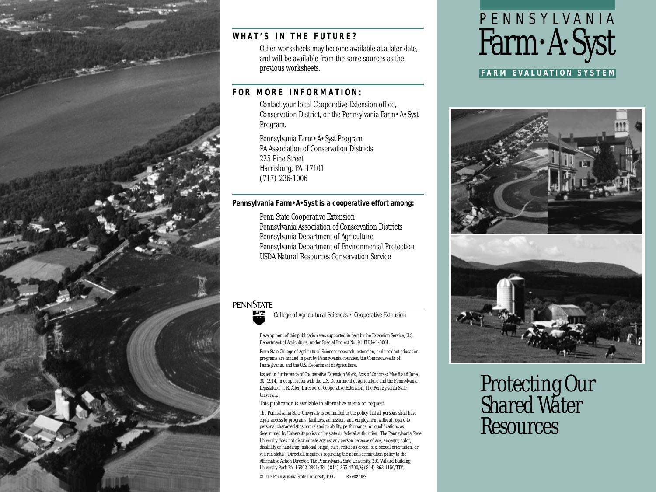

## **WHAT'S IN THE FUTURE?**

Other worksheets may become available at a later date, and will be available from the same sources as the previous worksheets.

## **FOR MORE INFORMATION:**

Contact your local Cooperative Extension office, Conservation District, or the Pennsylvania Farm•A•Syst Program.

Pennsylvania Farm•A•Syst Program PA Association of Conservation Districts 225 Pine Street Harrisburg, PA 17101 (717) 236-1006

#### **Pennsylvania Farm•A•Syst is a cooperative effort among:**

Penn State Cooperative Extension Pennsylvania Association of Conservation Districts Pennsylvania Department of Agriculture Pennsylvania Department of Environmental Protection USDA Natural Resources Conservation Service

## **PENNSTATE**



College of Agricultural Sciences • Cooperative Extension

Development of this publication was supported in part by the Extension Service, U.S. Department of Agriculture, under Special Project No. 91-EHUA-1-0061.

Penn State College of Agricultural Sciences research, extension, and resident education programs are funded in part by Pennsylvania counties, the Commonwealth of Pennsylvania, and the U.S. Department of Agriculture.

Issued in furtherance of Cooperative Extension Work, Acts of Congress May 8 and June 30, 1914, in cooperation with the U.S. Department of Agriculture and the Pennsylvania Legislature. T. R. Alter, Director of Cooperative Extension, The Pennsylvania State University.

This publication is available in alternative media on request.

The Pennsylvania State University is committed to the policy that all persons shall have equal access to programs, facilities, admission, and employment without regard to personal characteristics not related to ability, performance, or qualifications as determined by University policy or by state or federal authorities. The Pennsylvania State University does not discriminate against any person because of age, ancestry, color, disability or handicap, national origin, race, religious creed, sex, sexual orientation, or veteran status. Direct all inquiries regarding the nondiscrimination policy to the Affirmative Action Director, The Pennsylvania State University, 201 Willard Building, University Park PA 16802-2801; Tel. (814) 865-4700/V; (814) 863-1150/TTY.

© The Pennsylvania State University 1997 R5M899PS

# PENNSYLVANIA Farm•A•Syst

**FARM EVALUATION SYSTEM**



*Protecting Our Shared Water Resources*